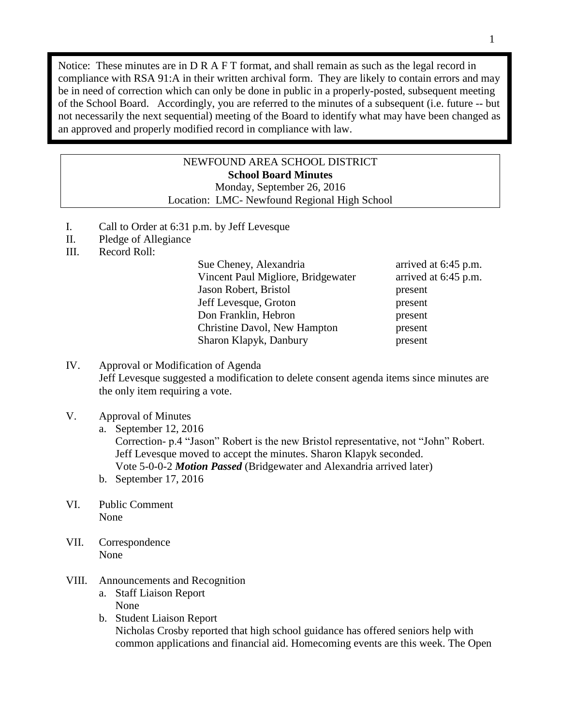Notice: These minutes are in D R A F T format, and shall remain as such as the legal record in compliance with RSA 91:A in their written archival form. They are likely to contain errors and may be in need of correction which can only be done in public in a properly-posted, subsequent meeting of the School Board. Accordingly, you are referred to the minutes of a subsequent (i.e. future -- but not necessarily the next sequential) meeting of the Board to identify what may have been changed as an approved and properly modified record in compliance with law.

## NEWFOUND AREA SCHOOL DISTRICT **School Board Minutes** Monday, September 26, 2016

Location: LMC- Newfound Regional High School

- I. Call to Order at 6:31 p.m. by Jeff Levesque
- II. Pledge of Allegiance
- III. Record Roll:

Sue Cheney, Alexandria arrived at 6:45 p.m. Vincent Paul Migliore, Bridgewater arrived at 6:45 p.m. Jason Robert, Bristol present Jeff Levesque, Groton present Don Franklin, Hebron present Christine Davol, New Hampton present Sharon Klapyk, Danbury present

IV. Approval or Modification of Agenda Jeff Levesque suggested a modification to delete consent agenda items since minutes are the only item requiring a vote.

## V. Approval of Minutes

a. September 12, 2016 Correction- p.4 "Jason" Robert is the new Bristol representative, not "John" Robert. Jeff Levesque moved to accept the minutes. Sharon Klapyk seconded. Vote 5-0-0-2 *Motion Passed* (Bridgewater and Alexandria arrived later)

- b. September 17, 2016
- VI. Public Comment None
- VII. Correspondence None
- VIII. Announcements and Recognition
	- a. Staff Liaison Report None
	- b. Student Liaison Report Nicholas Crosby reported that high school guidance has offered seniors help with common applications and financial aid. Homecoming events are this week. The Open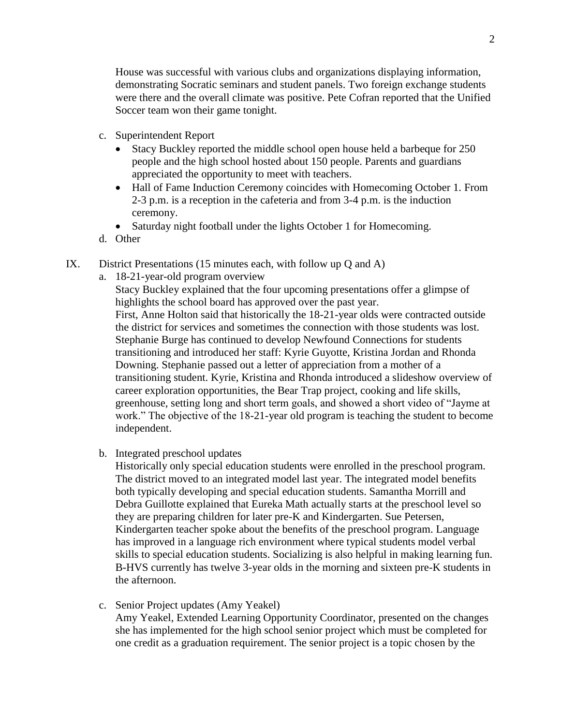House was successful with various clubs and organizations displaying information, demonstrating Socratic seminars and student panels. Two foreign exchange students were there and the overall climate was positive. Pete Cofran reported that the Unified Soccer team won their game tonight.

- c. Superintendent Report
	- Stacy Buckley reported the middle school open house held a barbeque for 250 people and the high school hosted about 150 people. Parents and guardians appreciated the opportunity to meet with teachers.
	- Hall of Fame Induction Ceremony coincides with Homecoming October 1. From 2-3 p.m. is a reception in the cafeteria and from 3-4 p.m. is the induction ceremony.
	- Saturday night football under the lights October 1 for Homecoming.
- d. Other
- IX. District Presentations (15 minutes each, with follow up Q and A)
	- a. 18-21-year-old program overview

Stacy Buckley explained that the four upcoming presentations offer a glimpse of highlights the school board has approved over the past year. First, Anne Holton said that historically the 18-21-year olds were contracted outside the district for services and sometimes the connection with those students was lost. Stephanie Burge has continued to develop Newfound Connections for students transitioning and introduced her staff: Kyrie Guyotte, Kristina Jordan and Rhonda Downing. Stephanie passed out a letter of appreciation from a mother of a transitioning student. Kyrie, Kristina and Rhonda introduced a slideshow overview of career exploration opportunities, the Bear Trap project, cooking and life skills, greenhouse, setting long and short term goals, and showed a short video of "Jayme at work." The objective of the 18-21-year old program is teaching the student to become independent.

b. Integrated preschool updates

Historically only special education students were enrolled in the preschool program. The district moved to an integrated model last year. The integrated model benefits both typically developing and special education students. Samantha Morrill and Debra Guillotte explained that Eureka Math actually starts at the preschool level so they are preparing children for later pre-K and Kindergarten. Sue Petersen, Kindergarten teacher spoke about the benefits of the preschool program. Language has improved in a language rich environment where typical students model verbal skills to special education students. Socializing is also helpful in making learning fun. B-HVS currently has twelve 3-year olds in the morning and sixteen pre-K students in the afternoon.

c. Senior Project updates (Amy Yeakel) Amy Yeakel, Extended Learning Opportunity Coordinator, presented on the changes she has implemented for the high school senior project which must be completed for one credit as a graduation requirement. The senior project is a topic chosen by the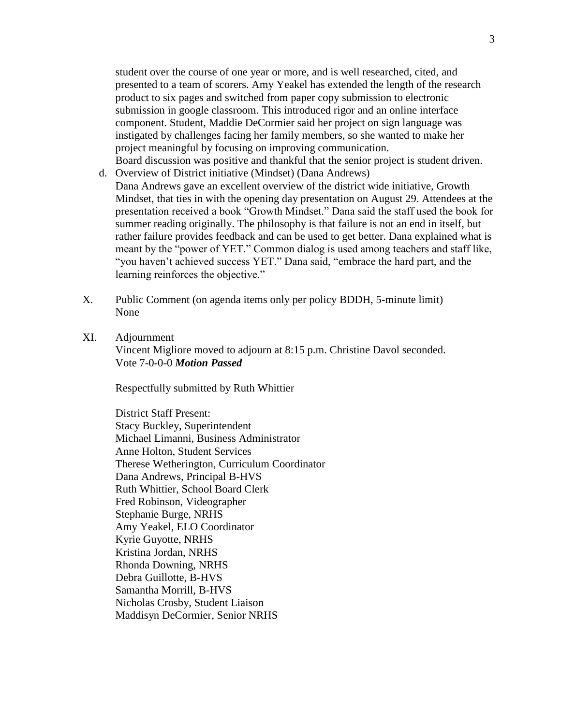student over the course of one year or more, and is well researched, cited, and presented to a team of scorers. Amy Yeakel has extended the length of the research product to six pages and switched from paper copy submission to electronic submission in google classroom. This introduced rigor and an online interface component. Student, Maddie DeCormier said her project on sign language was instigated by challenges facing her family members, so she wanted to make her project meaningful by focusing on improving communication. Board discussion was positive and thankful that the senior project is student driven.

- d. Overview of District initiative (Mindset) (Dana Andrews) Dana Andrews gave an excellent overview of the district wide initiative, Growth Mindset, that ties in with the opening day presentation on August 29. Attendees at the presentation received a book "Growth Mindset." Dana said the staff used the book for summer reading originally. The philosophy is that failure is not an end in itself, but rather failure provides feedback and can be used to get better. Dana explained what is meant by the "power of YET." Common dialog is used among teachers and staff like, "you haven't achieved success YET." Dana said, "embrace the hard part, and the learning reinforces the objective."
- X. Public Comment (on agenda items only per policy BDDH, 5-minute limit) None
- XI. Adjournment Vincent Migliore moved to adjourn at 8:15 p.m. Christine Davol seconded. Vote 7-0-0-0 *Motion Passed*

Respectfully submitted by Ruth Whittier

District Staff Present: Stacy Buckley, Superintendent Michael Limanni, Business Administrator Anne Holton, Student Services Therese Wetherington, Curriculum Coordinator Dana Andrews, Principal B-HVS Ruth Whittier, School Board Clerk Fred Robinson, Videographer Stephanie Burge, NRHS Amy Yeakel, ELO Coordinator Kyrie Guyotte, NRHS Kristina Jordan, NRHS Rhonda Downing, NRHS Debra Guillotte, B-HVS Samantha Morrill, B-HVS Nicholas Crosby, Student Liaison Maddisyn DeCormier, Senior NRHS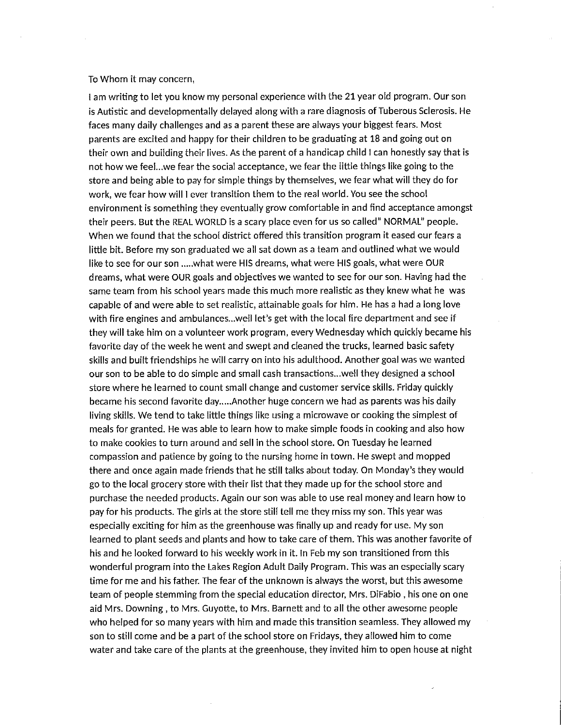## To Whom it may concern,

I am writing to let you know my personal experience with the 21 year old program. Our son is Autistic and developmentally delayed along with a rare diagnosis of Tuberous Sclerosis. He faces many daily challenges and as a parent these are always your biggest fears. Most parents are excited and happy for their children to be graduating at 18 and going out on their own and building their lives. As the parent of a handicap child I can honestly say that is not how we feel...we fear the social acceptance, we fear the little things like going to the store and being able to pay for simple things by themselves, we fear what will they do for work, we fear how will I ever transition them to the real world. You see the school environment is something they eventually grow comfortable in and find acceptance amongst their peers. But the REAL WORLD is a scary place even for us so called" NORMAL" people. When we found that the school district offered this transition program it eased our fears a little bit. Before my son graduated we all sat down as a team and outlined what we would like to see for our son .....what were HIS dreams, what were HIS goals, what were OUR dreams, what were OUR goals and objectives we wanted to see for our son. Having had the same team from his school years made this much more realistic as they knew what he was capable of and were able to set realistic, attainable goals for him. He has a had a long love with fire engines and ambulances...well let's get with the local fire department and see if they will take him on a volunteer work program, every Wednesday which quickly became his favorite day of the week he went and swept and cleaned the trucks, learned basic safety skills and built friendships he will carry on into his adulthood. Another goal was we wanted our son to be able to do simple and small cash transactions... well they designed a school store where he learned to count small change and customer service skills. Friday quickly became his second favorite day.....Another huge concern we had as parents was his daily living skills. We tend to take little things like using a microwave or cooking the simplest of meals for granted. He was able to learn how to make simple foods in cooking and also how to make cookies to turn around and sell in the school store. On Tuesday he learned compassion and patience by going to the nursing home in town. He swept and mopped there and once again made friends that he still talks about today. On Monday's they would go to the local grocery store with their list that they made up for the school store and purchase the needed products. Again our son was able to use real money and learn how to pay for his products. The girls at the store still tell me they miss my son. This year was especially exciting for him as the greenhouse was finally up and ready for use. My son learned to plant seeds and plants and how to take care of them. This was another favorite of his and he looked forward to his weekly work in it. In Feb my son transitioned from this wonderful program into the Lakes Region Adult Daily Program. This was an especially scary time for me and his father. The fear of the unknown is always the worst, but this awesome team of people stemming from the special education director, Mrs. DiFabio, his one on one aid Mrs. Downing, to Mrs. Guyotte, to Mrs. Barnett and to all the other awesome people who helped for so many years with him and made this transition seamless. They allowed my son to still come and be a part of the school store on Fridays, they allowed him to come water and take care of the plants at the greenhouse, they invited him to open house at night